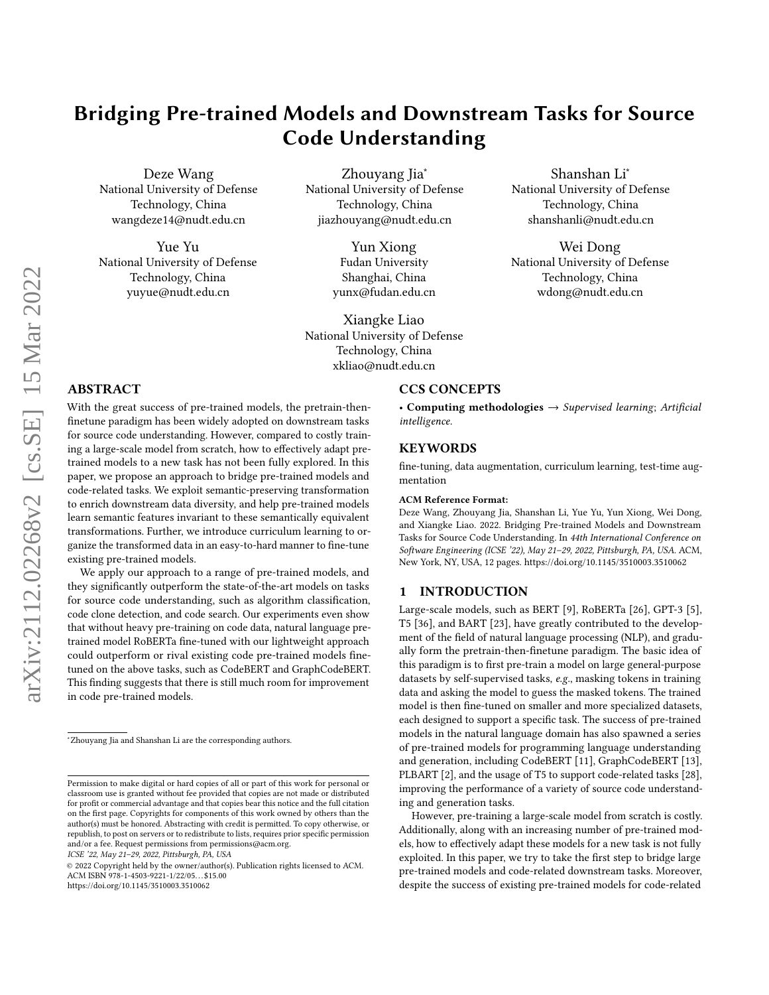# Bridging Pre-trained Models and Downstream Tasks for Source Code Understanding

Deze Wang National University of Defense Technology, China wangdeze14@nudt.edu.cn

Yue Yu National University of Defense Technology, China yuyue@nudt.edu.cn

Zhouyang Jia<sup>\*</sup> National University of Defense Technology, China jiazhouyang@nudt.edu.cn

> Yun Xiong Fudan University Shanghai, China yunx@fudan.edu.cn

Xiangke Liao National University of Defense Technology, China xkliao@nudt.edu.cn

Shanshan Li<sup>∗</sup> National University of Defense Technology, China shanshanli@nudt.edu.cn

Wei Dong National University of Defense Technology, China wdong@nudt.edu.cn

# ABSTRACT

With the great success of pre-trained models, the pretrain-thenfinetune paradigm has been widely adopted on downstream tasks for source code understanding. However, compared to costly training a large-scale model from scratch, how to effectively adapt pretrained models to a new task has not been fully explored. In this paper, we propose an approach to bridge pre-trained models and code-related tasks. We exploit semantic-preserving transformation to enrich downstream data diversity, and help pre-trained models learn semantic features invariant to these semantically equivalent transformations. Further, we introduce curriculum learning to organize the transformed data in an easy-to-hard manner to fine-tune existing pre-trained models.

We apply our approach to a range of pre-trained models, and they significantly outperform the state-of-the-art models on tasks for source code understanding, such as algorithm classification, code clone detection, and code search. Our experiments even show that without heavy pre-training on code data, natural language pretrained model RoBERTa fine-tuned with our lightweight approach could outperform or rival existing code pre-trained models finetuned on the above tasks, such as CodeBERT and GraphCodeBERT. This finding suggests that there is still much room for improvement in code pre-trained models.

ICSE '22, May 21–29, 2022, Pittsburgh, PA, USA

# CCS CONCEPTS

• Computing methodologies  $\rightarrow$  Supervised learning; Artificial intelligence.

# **KEYWORDS**

fine-tuning, data augmentation, curriculum learning, test-time augmentation

#### ACM Reference Format:

Deze Wang, Zhouyang Jia, Shanshan Li, Yue Yu, Yun Xiong, Wei Dong, and Xiangke Liao. 2022. Bridging Pre-trained Models and Downstream Tasks for Source Code Understanding. In 44th International Conference on Software Engineering (ICSE '22), May 21–29, 2022, Pittsburgh, PA, USA. ACM, New York, NY, USA, [12](#page-11-0) pages.<https://doi.org/10.1145/3510003.3510062>

## 1 INTRODUCTION

Large-scale models, such as BERT [\[9\]](#page-10-0), RoBERTa [\[26\]](#page-10-1), GPT-3 [\[5\]](#page-10-2), T5 [\[36\]](#page-10-3), and BART [\[23\]](#page-10-4), have greatly contributed to the development of the field of natural language processing (NLP), and gradually form the pretrain-then-finetune paradigm. The basic idea of this paradigm is to first pre-train a model on large general-purpose datasets by self-supervised tasks, e.g., masking tokens in training data and asking the model to guess the masked tokens. The trained model is then fine-tuned on smaller and more specialized datasets, each designed to support a specific task. The success of pre-trained models in the natural language domain has also spawned a series of pre-trained models for programming language understanding and generation, including CodeBERT [\[11\]](#page-10-5), GraphCodeBERT [\[13\]](#page-10-6), PLBART [\[2\]](#page-10-7), and the usage of T5 to support code-related tasks [\[28\]](#page-10-8), improving the performance of a variety of source code understanding and generation tasks.

However, pre-training a large-scale model from scratch is costly. Additionally, along with an increasing number of pre-trained models, how to effectively adapt these models for a new task is not fully exploited. In this paper, we try to take the first step to bridge large pre-trained models and code-related downstream tasks. Moreover, despite the success of existing pre-trained models for code-related

<sup>∗</sup>Zhouyang Jia and Shanshan Li are the corresponding authors.

Permission to make digital or hard copies of all or part of this work for personal or classroom use is granted without fee provided that copies are not made or distributed for profit or commercial advantage and that copies bear this notice and the full citation on the first page. Copyrights for components of this work owned by others than the author(s) must be honored. Abstracting with credit is permitted. To copy otherwise, or republish, to post on servers or to redistribute to lists, requires prior specific permission and/or a fee. Request permissions from permissions@acm.org.

<sup>©</sup> 2022 Copyright held by the owner/author(s). Publication rights licensed to ACM. ACM ISBN 978-1-4503-9221-1/22/05. . . \$15.00 <https://doi.org/10.1145/3510003.3510062>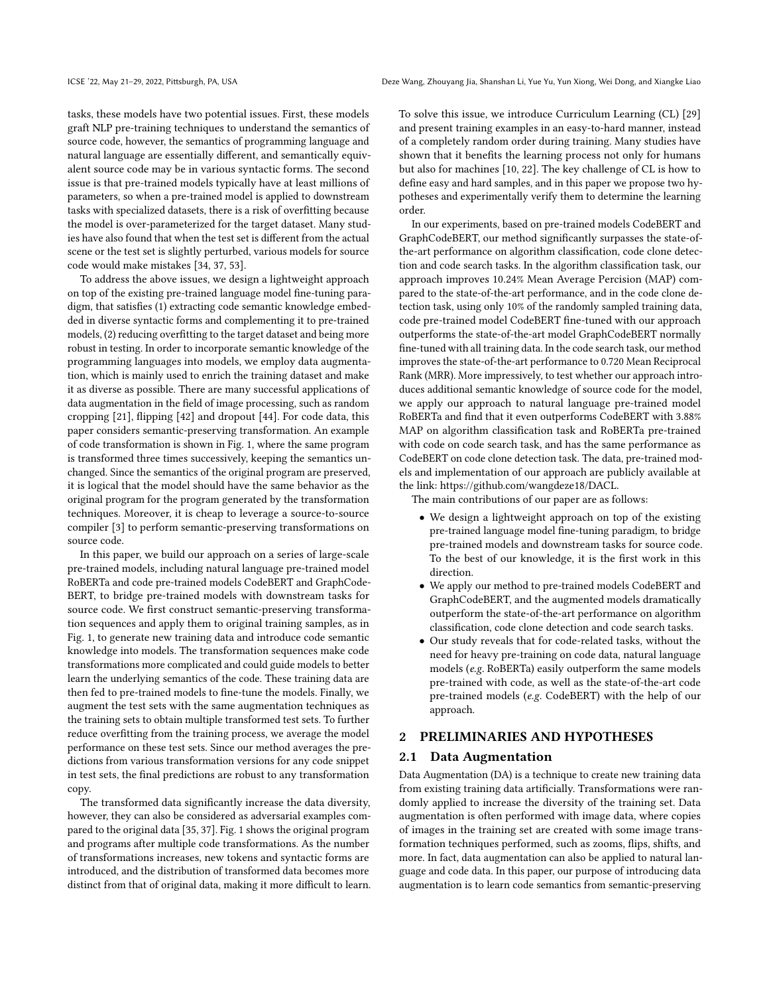tasks, these models have two potential issues. First, these models graft NLP pre-training techniques to understand the semantics of source code, however, the semantics of programming language and natural language are essentially different, and semantically equivalent source code may be in various syntactic forms. The second issue is that pre-trained models typically have at least millions of parameters, so when a pre-trained model is applied to downstream tasks with specialized datasets, there is a risk of overfitting because the model is over-parameterized for the target dataset. Many studies have also found that when the test set is different from the actual scene or the test set is slightly perturbed, various models for source code would make mistakes [\[34,](#page-10-9) [37,](#page-10-10) [53\]](#page-11-1).

To address the above issues, we design a lightweight approach on top of the existing pre-trained language model fine-tuning paradigm, that satisfies (1) extracting code semantic knowledge embedded in diverse syntactic forms and complementing it to pre-trained models, (2) reducing overfitting to the target dataset and being more robust in testing. In order to incorporate semantic knowledge of the programming languages into models, we employ data augmentation, which is mainly used to enrich the training dataset and make it as diverse as possible. There are many successful applications of data augmentation in the field of image processing, such as random cropping [\[21\]](#page-10-11), flipping [\[42\]](#page-10-12) and dropout [\[44\]](#page-10-13). For code data, this paper considers semantic-preserving transformation. An example of code transformation is shown in Fig. [1,](#page-2-0) where the same program is transformed three times successively, keeping the semantics unchanged. Since the semantics of the original program are preserved, it is logical that the model should have the same behavior as the original program for the program generated by the transformation techniques. Moreover, it is cheap to leverage a source-to-source compiler [\[3\]](#page-10-14) to perform semantic-preserving transformations on source code.

In this paper, we build our approach on a series of large-scale pre-trained models, including natural language pre-trained model RoBERTa and code pre-trained models CodeBERT and GraphCode-BERT, to bridge pre-trained models with downstream tasks for source code. We first construct semantic-preserving transformation sequences and apply them to original training samples, as in Fig. [1,](#page-2-0) to generate new training data and introduce code semantic knowledge into models. The transformation sequences make code transformations more complicated and could guide models to better learn the underlying semantics of the code. These training data are then fed to pre-trained models to fine-tune the models. Finally, we augment the test sets with the same augmentation techniques as the training sets to obtain multiple transformed test sets. To further reduce overfitting from the training process, we average the model performance on these test sets. Since our method averages the predictions from various transformation versions for any code snippet in test sets, the final predictions are robust to any transformation copy.

The transformed data significantly increase the data diversity, however, they can also be considered as adversarial examples compared to the original data [\[35,](#page-10-15) [37\]](#page-10-10). Fig. [1](#page-2-0) shows the original program and programs after multiple code transformations. As the number of transformations increases, new tokens and syntactic forms are introduced, and the distribution of transformed data becomes more distinct from that of original data, making it more difficult to learn. To solve this issue, we introduce Curriculum Learning (CL) [\[29\]](#page-10-16) and present training examples in an easy-to-hard manner, instead of a completely random order during training. Many studies have shown that it benefits the learning process not only for humans but also for machines [\[10,](#page-10-17) [22\]](#page-10-18). The key challenge of CL is how to define easy and hard samples, and in this paper we propose two hypotheses and experimentally verify them to determine the learning order.

In our experiments, based on pre-trained models CodeBERT and GraphCodeBERT, our method significantly surpasses the state-ofthe-art performance on algorithm classification, code clone detection and code search tasks. In the algorithm classification task, our approach improves 10.24% Mean Average Percision (MAP) compared to the state-of-the-art performance, and in the code clone detection task, using only 10% of the randomly sampled training data, code pre-trained model CodeBERT fine-tuned with our approach outperforms the state-of-the-art model GraphCodeBERT normally fine-tuned with all training data. In the code search task, our method improves the state-of-the-art performance to 0.720 Mean Reciprocal Rank (MRR). More impressively, to test whether our approach introduces additional semantic knowledge of source code for the model, we apply our approach to natural language pre-trained model RoBERTa and find that it even outperforms CodeBERT with 3.88% MAP on algorithm classification task and RoBERTa pre-trained with code on code search task, and has the same performance as CodeBERT on code clone detection task. The data, pre-trained models and implementation of our approach are publicly available at the link: [https://github.com/wangdeze18/DACL.](https://github.com/wangdeze18/DACL)

The main contributions of our paper are as follows:

- We design a lightweight approach on top of the existing pre-trained language model fine-tuning paradigm, to bridge pre-trained models and downstream tasks for source code. To the best of our knowledge, it is the first work in this direction.
- We apply our method to pre-trained models CodeBERT and GraphCodeBERT, and the augmented models dramatically outperform the state-of-the-art performance on algorithm classification, code clone detection and code search tasks.
- Our study reveals that for code-related tasks, without the need for heavy pre-training on code data, natural language models (e.g. RoBERTa) easily outperform the same models pre-trained with code, as well as the state-of-the-art code pre-trained models (e.g. CodeBERT) with the help of our approach.

# 2 PRELIMINARIES AND HYPOTHESES

# 2.1 Data Augmentation

Data Augmentation (DA) is a technique to create new training data from existing training data artificially. Transformations were randomly applied to increase the diversity of the training set. Data augmentation is often performed with image data, where copies of images in the training set are created with some image transformation techniques performed, such as zooms, flips, shifts, and more. In fact, data augmentation can also be applied to natural language and code data. In this paper, our purpose of introducing data augmentation is to learn code semantics from semantic-preserving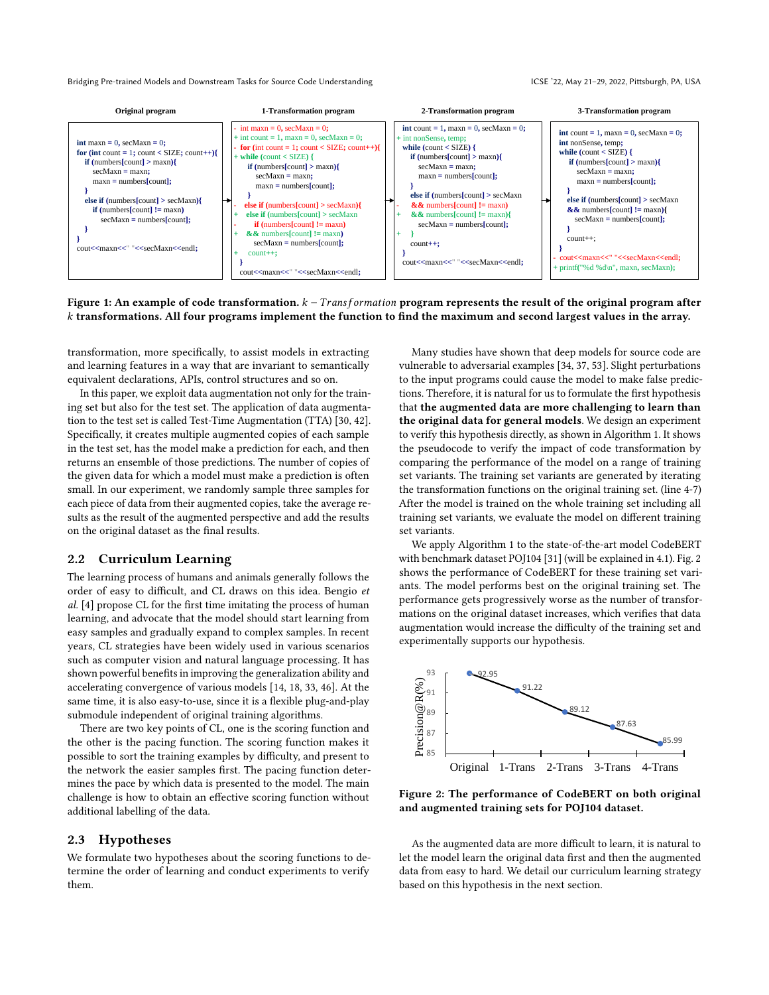<span id="page-2-0"></span>

# Figure 1: An example of code transformation.  $k - Transformation$  program represents the result of the original program after transformations. All four programs implement the function to find the maximum and second largest values in the array.

transformation, more specifically, to assist models in extracting and learning features in a way that are invariant to semantically equivalent declarations, APIs, control structures and so on.

In this paper, we exploit data augmentation not only for the training set but also for the test set. The application of data augmentation to the test set is called Test-Time Augmentation (TTA) [\[30,](#page-10-19) [42\]](#page-10-12). Specifically, it creates multiple augmented copies of each sample in the test set, has the model make a prediction for each, and then returns an ensemble of those predictions. The number of copies of the given data for which a model must make a prediction is often small. In our experiment, we randomly sample three samples for each piece of data from their augmented copies, take the average results as the result of the augmented perspective and add the results on the original dataset as the final results.

# 2.2 Curriculum Learning

The learning process of humans and animals generally follows the order of easy to difficult, and CL draws on this idea. Bengio et al. [\[4\]](#page-10-20) propose CL for the first time imitating the process of human learning, and advocate that the model should start learning from easy samples and gradually expand to complex samples. In recent years, CL strategies have been widely used in various scenarios such as computer vision and natural language processing. It has shown powerful benefits in improving the generalization ability and accelerating convergence of various models [\[14,](#page-10-21) [18,](#page-10-22) [33,](#page-10-23) [46\]](#page-10-24). At the same time, it is also easy-to-use, since it is a flexible plug-and-play submodule independent of original training algorithms.

There are two key points of CL, one is the scoring function and the other is the pacing function. The scoring function makes it possible to sort the training examples by difficulty, and present to the network the easier samples first. The pacing function determines the pace by which data is presented to the model. The main challenge is how to obtain an effective scoring function without additional labelling of the data.

# <span id="page-2-2"></span>2.3 Hypotheses

We formulate two hypotheses about the scoring functions to determine the order of learning and conduct experiments to verify them.

Many studies have shown that deep models for source code are vulnerable to adversarial examples [\[34,](#page-10-9) [37,](#page-10-10) [53\]](#page-11-1). Slight perturbations to the input programs could cause the model to make false predictions. Therefore, it is natural for us to formulate the first hypothesis that the augmented data are more challenging to learn than the original data for general models. We design an experiment to verify this hypothesis directly, as shown in Algorithm [1.](#page-3-0) It shows the pseudocode to verify the impact of code transformation by comparing the performance of the model on a range of training set variants. The training set variants are generated by iterating the transformation functions on the original training set. (line 4-7) After the model is trained on the whole training set including all training set variants, we evaluate the model on different training set variants.

We apply Algorithm [1](#page-3-0) to the state-of-the-art model CodeBERT with benchmark dataset POJ104 [\[31\]](#page-10-25) (will be explained in [4.1\)](#page-5-0). Fig. [2](#page-2-1) shows the performance of CodeBERT for these training set variants. The model performs best on the original training set. The performance gets progressively worse as the number of transformations on the original dataset increases, which verifies that data augmentation would increase the difficulty of the training set and experimentally supports our hypothesis.

<span id="page-2-1"></span>

Figure 2: The performance of CodeBERT on both original and augmented training sets for POJ104 dataset.

As the augmented data are more difficult to learn, it is natural to let the model learn the original data first and then the augmented data from easy to hard. We detail our curriculum learning strategy based on this hypothesis in the next section.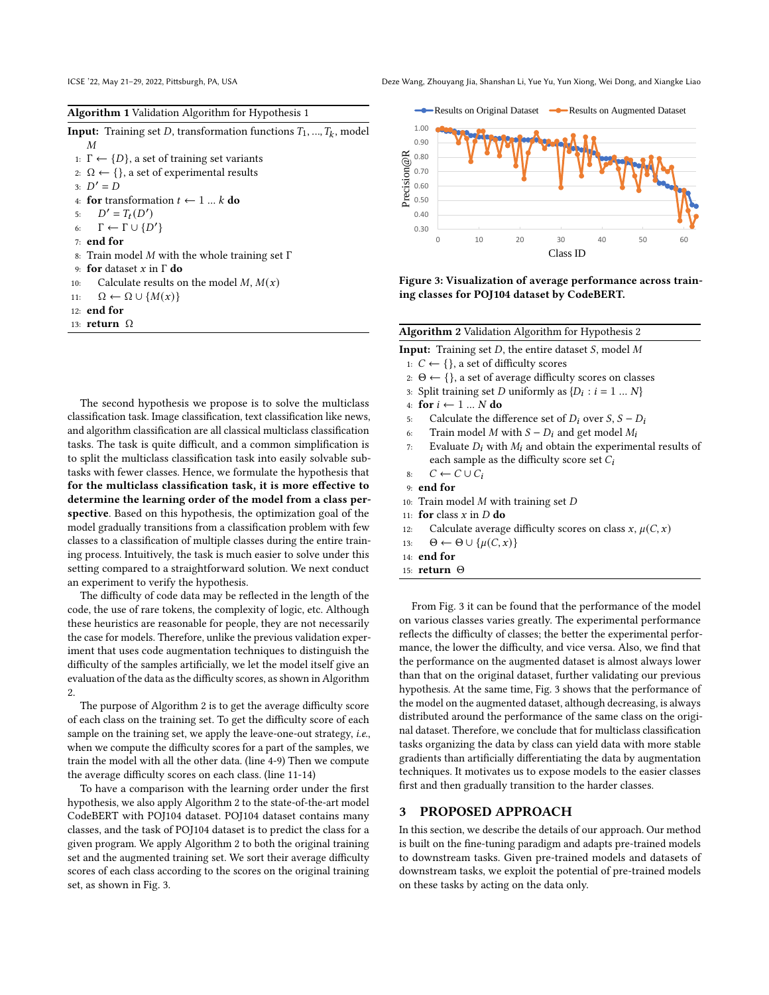ICSE '22, May 21–29, 2022, Pittsburgh, PA, USA Deze Wang, Zhouyang Jia, Shanshan Li, Yue Yu, Yun Xiong, Wei Dong, and Xiangke Liao

<span id="page-3-0"></span>

|  | Algorithm 1 Validation Algorithm for Hypothesis 1 |  |
|--|---------------------------------------------------|--|
|--|---------------------------------------------------|--|

**Input:** Training set D, transformation functions  $T_1, ..., T_k$ , model  $\boldsymbol{M}$ 1:  $\Gamma \leftarrow \{D\}$ , a set of training set variants 2:  $\Omega \leftarrow \{\}$ , a set of experimental results 3:  $D' = D$ 4: for transformation  $t \leftarrow 1 ... k$  do 5:  $D' = T_t(D')$ 6:  $\Gamma \leftarrow \Gamma \cup \{D'\}$ 7: end for 8: Train model  $M$  with the whole training set  $\Gamma$ 9: for dataset  $x$  in  $\Gamma$  do 10: Calculate results on the model  $M$ ,  $M(x)$ 11:  $\Omega \leftarrow \Omega \cup \{M(x)\}\$ 12: end for 13: return Ω

The second hypothesis we propose is to solve the multiclass classification task. Image classification, text classification like news, and algorithm classification are all classical multiclass classification tasks. The task is quite difficult, and a common simplification is to split the multiclass classification task into easily solvable subtasks with fewer classes. Hence, we formulate the hypothesis that for the multiclass classification task, it is more effective to determine the learning order of the model from a class perspective. Based on this hypothesis, the optimization goal of the model gradually transitions from a classification problem with few classes to a classification of multiple classes during the entire training process. Intuitively, the task is much easier to solve under this setting compared to a straightforward solution. We next conduct an experiment to verify the hypothesis.

The difficulty of code data may be reflected in the length of the code, the use of rare tokens, the complexity of logic, etc. Although these heuristics are reasonable for people, they are not necessarily the case for models. Therefore, unlike the previous validation experiment that uses code augmentation techniques to distinguish the difficulty of the samples artificially, we let the model itself give an evaluation of the data as the difficulty scores, as shown in Algorithm [2.](#page-3-1)

The purpose of Algorithm [2](#page-3-1) is to get the average difficulty score of each class on the training set. To get the difficulty score of each sample on the training set, we apply the leave-one-out strategy, i.e., when we compute the difficulty scores for a part of the samples, we train the model with all the other data. (line 4-9) Then we compute the average difficulty scores on each class. (line 11-14)

To have a comparison with the learning order under the first hypothesis, we also apply Algorithm [2](#page-3-1) to the state-of-the-art model CodeBERT with POJ104 dataset. POJ104 dataset contains many classes, and the task of POJ104 dataset is to predict the class for a given program. We apply Algorithm [2](#page-3-1) to both the original training set and the augmented training set. We sort their average difficulty scores of each class according to the scores on the original training set, as shown in Fig. [3.](#page-3-2)

<span id="page-3-2"></span>

Figure 3: Visualization of average performance across training classes for POJ104 dataset by CodeBERT.

<span id="page-3-1"></span>Algorithm 2 Validation Algorithm for Hypothesis 2 Input: Training set  $D$ , the entire dataset  $S$ , model  $M$ 1:  $C$  ← {}, a set of difficulty scores

- 2:  $\Theta \leftarrow \{\}$ , a set of average difficulty scores on classes
- 3: Split training set *D* uniformly as  $\{D_i : i = 1 ... N\}$
- 4: for  $i \leftarrow 1 ... N$  do
- 5: Calculate the difference set of  $D_i$  over  $S, S D_i$
- 6: Train model *M* with  $S D_i$  and get model  $M_i$
- 7: Evaluate  $D_i$  with  $M_i$  and obtain the experimental results of each sample as the difficulty score set  $C_i$
- 8:  $C \leftarrow C \cup C_i$
- 9: end for
- 10: Train model  $M$  with training set  $D$
- 11: for class  $x$  in  $D$  do
- 12: Calculate average difficulty scores on class  $x, \mu(C, x)$
- 13:  $\Theta \leftarrow \Theta \cup \{ \mu(C, x) \}$
- 14: end for
- 15: return Θ

From Fig. [3](#page-3-2) it can be found that the performance of the model on various classes varies greatly. The experimental performance reflects the difficulty of classes; the better the experimental performance, the lower the difficulty, and vice versa. Also, we find that the performance on the augmented dataset is almost always lower than that on the original dataset, further validating our previous hypothesis. At the same time, Fig. [3](#page-3-2) shows that the performance of the model on the augmented dataset, although decreasing, is always distributed around the performance of the same class on the original dataset. Therefore, we conclude that for multiclass classification tasks organizing the data by class can yield data with more stable gradients than artificially differentiating the data by augmentation techniques. It motivates us to expose models to the easier classes first and then gradually transition to the harder classes.

## 3 PROPOSED APPROACH

In this section, we describe the details of our approach. Our method is built on the fine-tuning paradigm and adapts pre-trained models to downstream tasks. Given pre-trained models and datasets of downstream tasks, we exploit the potential of pre-trained models on these tasks by acting on the data only.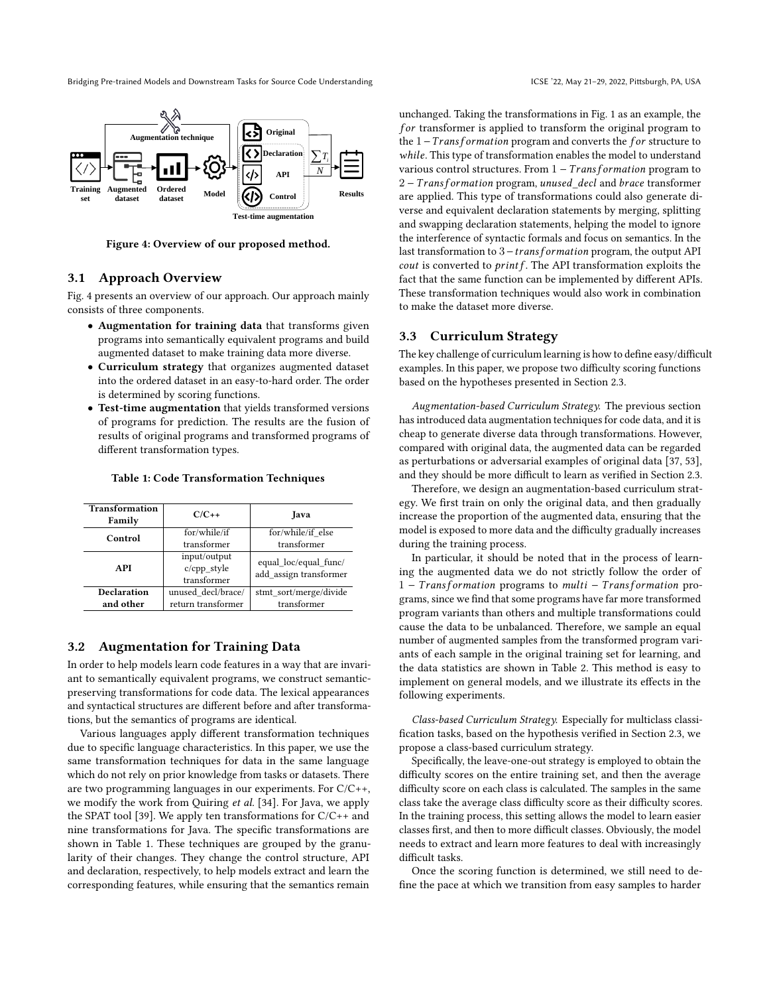<span id="page-4-0"></span>

Figure 4: Overview of our proposed method.

# 3.1 Approach Overview

Fig. [4](#page-4-0) presents an overview of our approach. Our approach mainly consists of three components.

- Augmentation for training data that transforms given programs into semantically equivalent programs and build augmented dataset to make training data more diverse.
- Curriculum strategy that organizes augmented dataset into the ordered dataset in an easy-to-hard order. The order is determined by scoring functions.
- Test-time augmentation that yields transformed versions of programs for prediction. The results are the fusion of results of original programs and transformed programs of different transformation types.

<span id="page-4-1"></span>

| Table 1: Code Transformation Techniques |
|-----------------------------------------|
|                                         |

| <b>Transformation</b><br>Family | $C/C_{++}$         | Java                   |
|---------------------------------|--------------------|------------------------|
| Control                         | for/while/if       | for/while/if else      |
|                                 | transformer        | transformer            |
|                                 | input/output       | equal loc/equal func/  |
| API                             | c/cpp_style        | add assign transformer |
|                                 | transformer        |                        |
| <b>Declaration</b>              | unused decl/brace/ | stmt sort/merge/divide |
| and other                       | return transformer | transformer            |

# 3.2 Augmentation for Training Data

In order to help models learn code features in a way that are invariant to semantically equivalent programs, we construct semanticpreserving transformations for code data. The lexical appearances and syntactical structures are different before and after transformations, but the semantics of programs are identical.

Various languages apply different transformation techniques due to specific language characteristics. In this paper, we use the same transformation techniques for data in the same language which do not rely on prior knowledge from tasks or datasets. There are two programming languages in our experiments. For C/C++, we modify the work from Quiring et al. [\[34\]](#page-10-9). For Java, we apply the SPAT tool [\[39\]](#page-10-26). We apply ten transformations for  $C/C++$  and nine transformations for Java. The specific transformations are shown in Table [1.](#page-4-1) These techniques are grouped by the granularity of their changes. They change the control structure, API and declaration, respectively, to help models extract and learn the corresponding features, while ensuring that the semantics remain

<u>N</u>  $\rightarrow$  **N**  $\rightarrow$  various control structures. From 1 – *Transformation* program to unchanged. Taking the transformations in Fig. [1](#page-2-0) as an example, the  $for$  transformer is applied to transform the original program to the  $1-Transformation$  program and converts the for structure to while. This type of transformation enables the model to understand  $2 - Transformation program, unused\ decl$  and  $brace$  transformer are applied. This type of transformations could also generate diverse and equivalent declaration statements by merging, splitting and swapping declaration statements, helping the model to ignore the interference of syntactic formals and focus on semantics. In the last transformation to  $3 -$ transformation program, the output API *cout* is converted to  $printf$ . The API transformation exploits the fact that the same function can be implemented by different APIs. These transformation techniques would also work in combination

# 3.3 Curriculum Strategy

to make the dataset more diverse.

The key challenge of curriculum learning is how to define easy/difficult examples. In this paper, we propose two difficulty scoring functions based on the hypotheses presented in Section [2.3.](#page-2-2)

Augmentation-based Curriculum Strategy. The previous section has introduced data augmentation techniques for code data, and it is cheap to generate diverse data through transformations. However, compared with original data, the augmented data can be regarded as perturbations or adversarial examples of original data [\[37,](#page-10-10) [53\]](#page-11-1), and they should be more difficult to learn as verified in Section [2.3.](#page-2-2)

Therefore, we design an augmentation-based curriculum strategy. We first train on only the original data, and then gradually increase the proportion of the augmented data, ensuring that the model is exposed to more data and the difficulty gradually increases during the training process.

In particular, it should be noted that in the process of learning the augmented data we do not strictly follow the order of 1 - Transformation programs to multi - Transformation programs, since we find that some programs have far more transformed program variants than others and multiple transformations could cause the data to be unbalanced. Therefore, we sample an equal number of augmented samples from the transformed program variants of each sample in the original training set for learning, and the data statistics are shown in Table [2.](#page-5-1) This method is easy to implement on general models, and we illustrate its effects in the following experiments.

<span id="page-4-2"></span>Class-based Curriculum Strategy. Especially for multiclass classification tasks, based on the hypothesis verified in Section [2.3,](#page-2-2) we propose a class-based curriculum strategy.

Specifically, the leave-one-out strategy is employed to obtain the difficulty scores on the entire training set, and then the average difficulty score on each class is calculated. The samples in the same class take the average class difficulty score as their difficulty scores. In the training process, this setting allows the model to learn easier classes first, and then to more difficult classes. Obviously, the model needs to extract and learn more features to deal with increasingly difficult tasks.

Once the scoring function is determined, we still need to define the pace at which we transition from easy samples to harder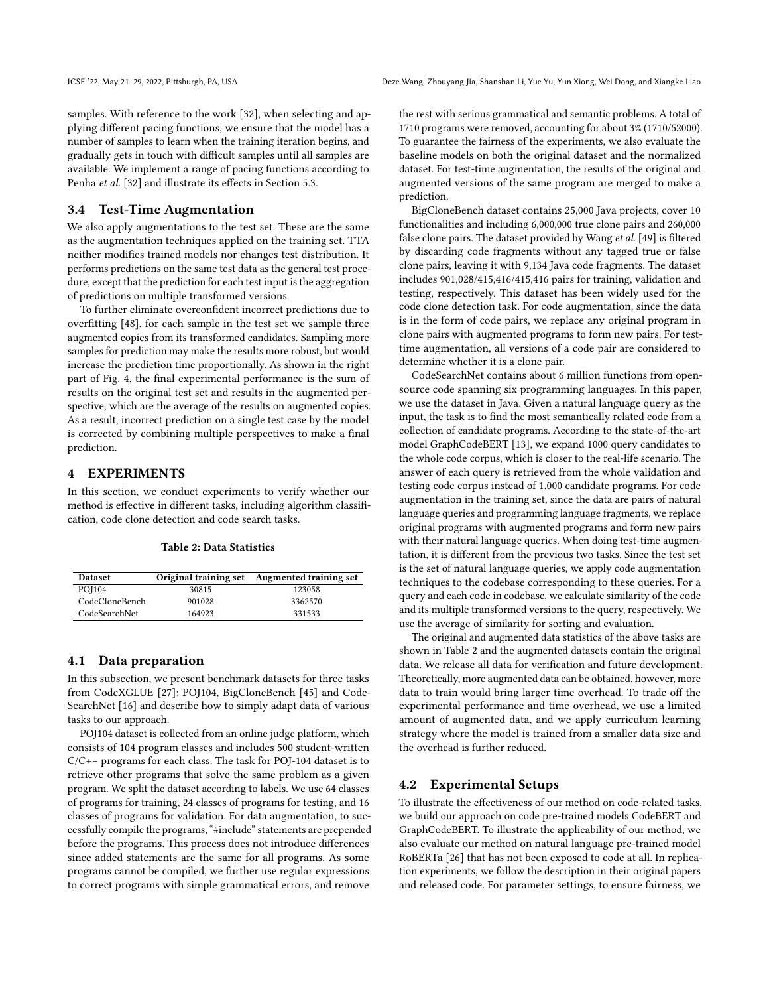samples. With reference to the work [\[32\]](#page-10-27), when selecting and applying different pacing functions, we ensure that the model has a number of samples to learn when the training iteration begins, and gradually gets in touch with difficult samples until all samples are available. We implement a range of pacing functions according to Penha et al. [\[32\]](#page-10-27) and illustrate its effects in Section [5.3.](#page-8-0)

## 3.4 Test-Time Augmentation

We also apply augmentations to the test set. These are the same as the augmentation techniques applied on the training set. TTA neither modifies trained models nor changes test distribution. It performs predictions on the same test data as the general test procedure, except that the prediction for each test input is the aggregation of predictions on multiple transformed versions.

To further eliminate overconfident incorrect predictions due to overfitting [\[48\]](#page-11-2), for each sample in the test set we sample three augmented copies from its transformed candidates. Sampling more samples for prediction may make the results more robust, but would increase the prediction time proportionally. As shown in the right part of Fig. [4,](#page-4-0) the final experimental performance is the sum of results on the original test set and results in the augmented perspective, which are the average of the results on augmented copies. As a result, incorrect prediction on a single test case by the model is corrected by combining multiple perspectives to make a final prediction.

## 4 EXPERIMENTS

In this section, we conduct experiments to verify whether our method is effective in different tasks, including algorithm classification, code clone detection and code search tasks.

| <b>Table 2: Data Statistics</b> |
|---------------------------------|
|                                 |

<span id="page-5-1"></span>

| <b>Dataset</b> |        | Original training set Augmented training set |
|----------------|--------|----------------------------------------------|
| <b>POI104</b>  | 30815  | 123058                                       |
| CodeCloneBench | 901028 | 3362570                                      |
| CodeSearchNet  | 164923 | 331533                                       |

# <span id="page-5-0"></span>4.1 Data preparation

In this subsection, we present benchmark datasets for three tasks from CodeXGLUE [\[27\]](#page-10-28): POJ104, BigCloneBench [\[45\]](#page-10-29) and Code-SearchNet [\[16\]](#page-10-30) and describe how to simply adapt data of various tasks to our approach.

POJ104 dataset is collected from an online judge platform, which consists of 104 program classes and includes 500 student-written C/C++ programs for each class. The task for POJ-104 dataset is to retrieve other programs that solve the same problem as a given program. We split the dataset according to labels. We use 64 classes of programs for training, 24 classes of programs for testing, and 16 classes of programs for validation. For data augmentation, to successfully compile the programs, "#include" statements are prepended before the programs. This process does not introduce differences since added statements are the same for all programs. As some programs cannot be compiled, we further use regular expressions to correct programs with simple grammatical errors, and remove

the rest with serious grammatical and semantic problems. A total of 1710 programs were removed, accounting for about 3% (1710/52000). To guarantee the fairness of the experiments, we also evaluate the baseline models on both the original dataset and the normalized dataset. For test-time augmentation, the results of the original and augmented versions of the same program are merged to make a prediction.

BigCloneBench dataset contains 25,000 Java projects, cover 10 functionalities and including 6,000,000 true clone pairs and 260,000 false clone pairs. The dataset provided by Wang et al. [\[49\]](#page-11-3) is filtered by discarding code fragments without any tagged true or false clone pairs, leaving it with 9,134 Java code fragments. The dataset includes 901,028/415,416/415,416 pairs for training, validation and testing, respectively. This dataset has been widely used for the code clone detection task. For code augmentation, since the data is in the form of code pairs, we replace any original program in clone pairs with augmented programs to form new pairs. For testtime augmentation, all versions of a code pair are considered to determine whether it is a clone pair.

CodeSearchNet contains about 6 million functions from opensource code spanning six programming languages. In this paper, we use the dataset in Java. Given a natural language query as the input, the task is to find the most semantically related code from a collection of candidate programs. According to the state-of-the-art model GraphCodeBERT [\[13\]](#page-10-6), we expand 1000 query candidates to the whole code corpus, which is closer to the real-life scenario. The answer of each query is retrieved from the whole validation and testing code corpus instead of 1,000 candidate programs. For code augmentation in the training set, since the data are pairs of natural language queries and programming language fragments, we replace original programs with augmented programs and form new pairs with their natural language queries. When doing test-time augmentation, it is different from the previous two tasks. Since the test set is the set of natural language queries, we apply code augmentation techniques to the codebase corresponding to these queries. For a query and each code in codebase, we calculate similarity of the code and its multiple transformed versions to the query, respectively. We use the average of similarity for sorting and evaluation.

The original and augmented data statistics of the above tasks are shown in Table [2](#page-5-1) and the augmented datasets contain the original data. We release all data for verification and future development. Theoretically, more augmented data can be obtained, however, more data to train would bring larger time overhead. To trade off the experimental performance and time overhead, we use a limited amount of augmented data, and we apply curriculum learning strategy where the model is trained from a smaller data size and the overhead is further reduced.

## 4.2 Experimental Setups

To illustrate the effectiveness of our method on code-related tasks, we build our approach on code pre-trained models CodeBERT and GraphCodeBERT. To illustrate the applicability of our method, we also evaluate our method on natural language pre-trained model RoBERTa [\[26\]](#page-10-1) that has not been exposed to code at all. In replication experiments, we follow the description in their original papers and released code. For parameter settings, to ensure fairness, we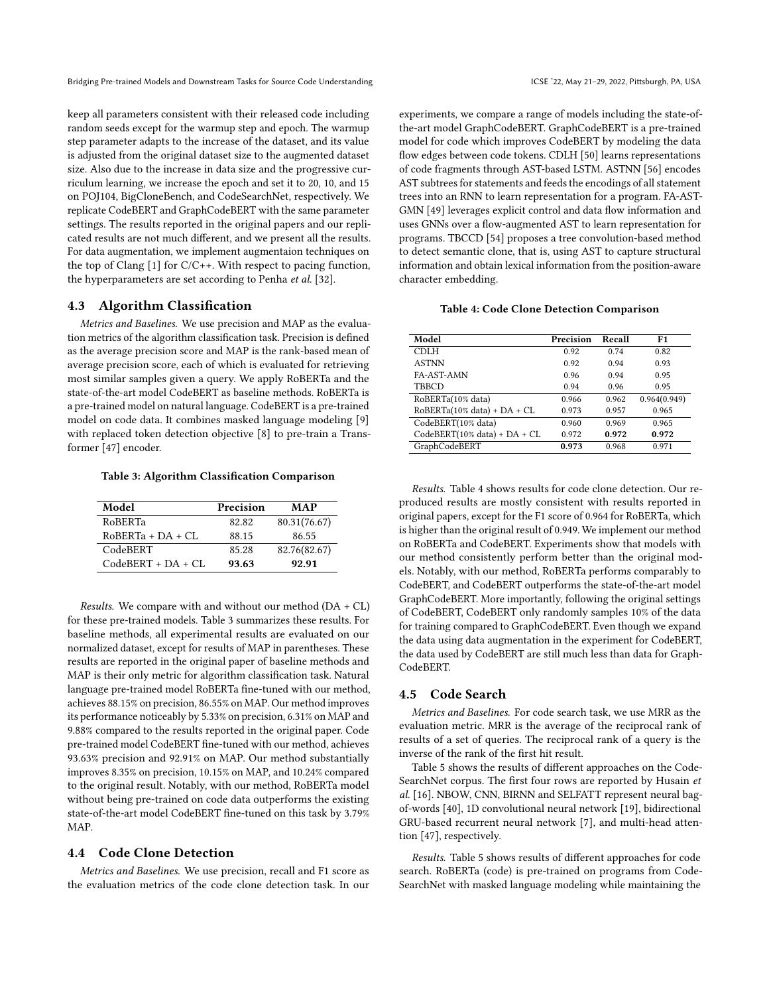keep all parameters consistent with their released code including random seeds except for the warmup step and epoch. The warmup step parameter adapts to the increase of the dataset, and its value is adjusted from the original dataset size to the augmented dataset size. Also due to the increase in data size and the progressive curriculum learning, we increase the epoch and set it to 20, 10, and 15 on POJ104, BigCloneBench, and CodeSearchNet, respectively. We replicate CodeBERT and GraphCodeBERT with the same parameter settings. The results reported in the original papers and our replicated results are not much different, and we present all the results. For data augmentation, we implement augmentaion techniques on the top of Clang  $[1]$  for  $C/C++$ . With respect to pacing function, the hyperparameters are set according to Penha et al. [\[32\]](#page-10-27).

## 4.3 Algorithm Classification

Metrics and Baselines. We use precision and MAP as the evaluation metrics of the algorithm classification task. Precision is defined as the average precision score and MAP is the rank-based mean of average precision score, each of which is evaluated for retrieving most similar samples given a query. We apply RoBERTa and the state-of-the-art model CodeBERT as baseline methods. RoBERTa is a pre-trained model on natural language. CodeBERT is a pre-trained model on code data. It combines masked language modeling [\[9\]](#page-10-0) with replaced token detection objective [\[8\]](#page-10-32) to pre-train a Transformer [\[47\]](#page-11-4) encoder.

#### <span id="page-6-0"></span>Table 3: Algorithm Classification Comparison

| Model                | Precision | MAP          |
|----------------------|-----------|--------------|
| <b>RoBERTa</b>       | 82.82     | 80.31(76.67) |
| $ROBERTa + DA + CL$  | 88.15     | 86.55        |
| CodeBERT             | 85.28     | 82.76(82.67) |
| $CodeBERT + DA + CL$ | 93.63     | 92.91        |

Results. We compare with and without our method (DA + CL) for these pre-trained models. Table [3](#page-6-0) summarizes these results. For baseline methods, all experimental results are evaluated on our normalized dataset, except for results of MAP in parentheses. These results are reported in the original paper of baseline methods and MAP is their only metric for algorithm classification task. Natural language pre-trained model RoBERTa fine-tuned with our method, achieves 88.15% on precision, 86.55% on MAP. Our method improves its performance noticeably by 5.33% on precision, 6.31% on MAP and 9.88% compared to the results reported in the original paper. Code pre-trained model CodeBERT fine-tuned with our method, achieves 93.63% precision and 92.91% on MAP. Our method substantially improves 8.35% on precision, 10.15% on MAP, and 10.24% compared to the original result. Notably, with our method, RoBERTa model without being pre-trained on code data outperforms the existing state-of-the-art model CodeBERT fine-tuned on this task by 3.79% MAP.

# 4.4 Code Clone Detection

Metrics and Baselines. We use precision, recall and F1 score as the evaluation metrics of the code clone detection task. In our experiments, we compare a range of models including the state-ofthe-art model GraphCodeBERT. GraphCodeBERT is a pre-trained model for code which improves CodeBERT by modeling the data flow edges between code tokens. CDLH [\[50\]](#page-11-5) learns representations of code fragments through AST-based LSTM. ASTNN [\[56\]](#page-11-6) encodes AST subtrees for statements and feeds the encodings of all statement trees into an RNN to learn representation for a program. FA-AST-GMN [\[49\]](#page-11-3) leverages explicit control and data flow information and uses GNNs over a flow-augmented AST to learn representation for programs. TBCCD [\[54\]](#page-11-7) proposes a tree convolution-based method to detect semantic clone, that is, using AST to capture structural information and obtain lexical information from the position-aware character embedding.

## Table 4: Code Clone Detection Comparison

<span id="page-6-1"></span>

| Model                           | Precision | Recall | F1           |
|---------------------------------|-----------|--------|--------------|
| <b>CDLH</b>                     | 0.92      | 0.74   | 0.82         |
| <b>ASTNN</b>                    | 0.92      | 0.94   | 0.93         |
| FA-AST-AMN                      | 0.96      | 0.94   | 0.95         |
| <b>TBBCD</b>                    | 0.94      | 0.96   | 0.95         |
| RoBERTa(10% data)               | 0.966     | 0.962  | 0.964(0.949) |
| $RoBERTa(10\% data) + DA + CL$  | 0.973     | 0.957  | 0.965        |
| CodeBERT(10% data)              | 0.960     | 0.969  | 0.965        |
| $CodeBERT(10\% data) + DA + CL$ | 0.972     | 0.972  | 0.972        |
| GraphCodeBERT                   | 0.973     | 0.968  | 0.971        |

Results. Table [4](#page-6-1) shows results for code clone detection. Our reproduced results are mostly consistent with results reported in original papers, except for the F1 score of 0.964 for RoBERTa, which is higher than the original result of 0.949. We implement our method on RoBERTa and CodeBERT. Experiments show that models with our method consistently perform better than the original models. Notably, with our method, RoBERTa performs comparably to CodeBERT, and CodeBERT outperforms the state-of-the-art model GraphCodeBERT. More importantly, following the original settings of CodeBERT, CodeBERT only randomly samples 10% of the data for training compared to GraphCodeBERT. Even though we expand the data using data augmentation in the experiment for CodeBERT, the data used by CodeBERT are still much less than data for Graph-CodeBERT.

## 4.5 Code Search

Metrics and Baselines. For code search task, we use MRR as the evaluation metric. MRR is the average of the reciprocal rank of results of a set of queries. The reciprocal rank of a query is the inverse of the rank of the first hit result.

Table [5](#page-7-0) shows the results of different approaches on the Code-SearchNet corpus. The first four rows are reported by Husain et al. [\[16\]](#page-10-30). NBOW, CNN, BIRNN and SELFATT represent neural bagof-words [\[40\]](#page-10-33), 1D convolutional neural network [\[19\]](#page-10-34), bidirectional GRU-based recurrent neural network [\[7\]](#page-10-35), and multi-head attention [\[47\]](#page-11-4), respectively.

Results. Table [5](#page-7-0) shows results of different approaches for code search. RoBERTa (code) is pre-trained on programs from Code-SearchNet with masked language modeling while maintaining the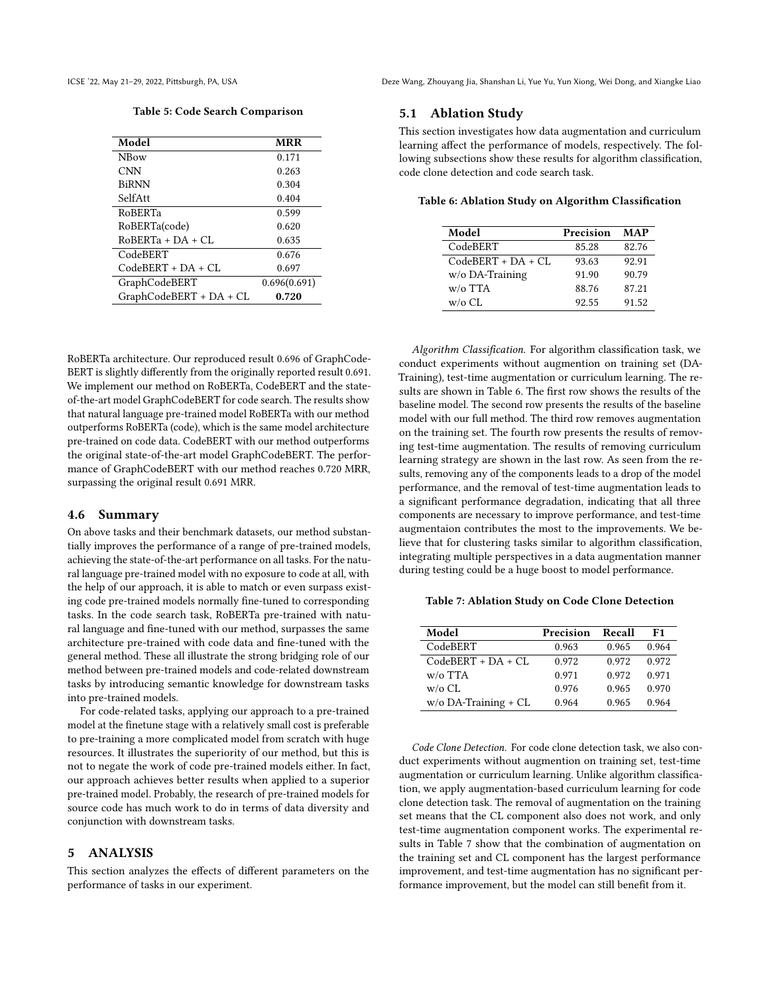Table 5: Code Search Comparison

<span id="page-7-0"></span>

| Model                   | <b>MRR</b>   |
|-------------------------|--------------|
| <b>NBow</b>             | 0.171        |
| <b>CNN</b>              | 0.263        |
| <b>BiRNN</b>            | 0.304        |
| SelfAtt                 | 0.404        |
| RoBERTa                 | 0.599        |
| RoBERTa(code)           | 0.620        |
| $ROBERTA + DA + CI$ .   | 0.635        |
| CodeBERT                | 0.676        |
| $CodeBERT + DA + CI$ .  | 0.697        |
| GraphCodeBERT           | 0.696(0.691) |
| GraphCodeBERT + DA + CL | 0.720        |

RoBERTa architecture. Our reproduced result 0.696 of GraphCode-BERT is slightly differently from the originally reported result 0.691. We implement our method on RoBERTa, CodeBERT and the stateof-the-art model GraphCodeBERT for code search. The results show that natural language pre-trained model RoBERTa with our method outperforms RoBERTa (code), which is the same model architecture pre-trained on code data. CodeBERT with our method outperforms the original state-of-the-art model GraphCodeBERT. The performance of GraphCodeBERT with our method reaches 0.720 MRR, surpassing the original result 0.691 MRR.

## 4.6 Summary

On above tasks and their benchmark datasets, our method substantially improves the performance of a range of pre-trained models, achieving the state-of-the-art performance on all tasks. For the natural language pre-trained model with no exposure to code at all, with the help of our approach, it is able to match or even surpass existing code pre-trained models normally fine-tuned to corresponding tasks. In the code search task, RoBERTa pre-trained with natural language and fine-tuned with our method, surpasses the same architecture pre-trained with code data and fine-tuned with the general method. These all illustrate the strong bridging role of our method between pre-trained models and code-related downstream tasks by introducing semantic knowledge for downstream tasks into pre-trained models.

For code-related tasks, applying our approach to a pre-trained model at the finetune stage with a relatively small cost is preferable to pre-training a more complicated model from scratch with huge resources. It illustrates the superiority of our method, but this is not to negate the work of code pre-trained models either. In fact, our approach achieves better results when applied to a superior pre-trained model. Probably, the research of pre-trained models for source code has much work to do in terms of data diversity and conjunction with downstream tasks.

# 5 ANALYSIS

This section analyzes the effects of different parameters on the performance of tasks in our experiment.

## 5.1 Ablation Study

This section investigates how data augmentation and curriculum learning affect the performance of models, respectively. The following subsections show these results for algorithm classification, code clone detection and code search task.

<span id="page-7-1"></span>Table 6: Ablation Study on Algorithm Classification

| Model                | Precision | MAP   |
|----------------------|-----------|-------|
| CodeBERT             | 85.28     | 82.76 |
| $CodeBERT + DA + CL$ | 93.63     | 92.91 |
| $w$ /o DA-Training   | 91.90     | 90.79 |
| $w/o$ TTA            | 88.76     | 87.21 |
| w/o CL               | 92.55     | 91.52 |

Algorithm Classification. For algorithm classification task, we conduct experiments without augmention on training set (DA-Training), test-time augmentation or curriculum learning. The results are shown in Table [6.](#page-7-1) The first row shows the results of the baseline model. The second row presents the results of the baseline model with our full method. The third row removes augmentation on the training set. The fourth row presents the results of removing test-time augmentation. The results of removing curriculum learning strategy are shown in the last row. As seen from the results, removing any of the components leads to a drop of the model performance, and the removal of test-time augmentation leads to a significant performance degradation, indicating that all three components are necessary to improve performance, and test-time augmentaion contributes the most to the improvements. We believe that for clustering tasks similar to algorithm classification, integrating multiple perspectives in a data augmentation manner during testing could be a huge boost to model performance.

#### <span id="page-7-2"></span>Table 7: Ablation Study on Code Clone Detection

| Model                   | Precision | Recall | F1    |
|-------------------------|-----------|--------|-------|
| CodeBERT                | 0.963     | 0.965  | 0.964 |
| $CodeBERT + DA + CL$    | 0.972     | 0.972  | 0.972 |
| $w$ /o TTA              | 0.971     | 0.972  | 0.971 |
| $w$ /o CL               | 0.976     | 0.965  | 0.970 |
| $w$ /o DA-Training + CL | 0.964     | 0.965  | 0.964 |

Code Clone Detection. For code clone detection task, we also conduct experiments without augmention on training set, test-time augmentation or curriculum learning. Unlike algorithm classification, we apply augmentation-based curriculum learning for code clone detection task. The removal of augmentation on the training set means that the CL component also does not work, and only test-time augmentation component works. The experimental results in Table [7](#page-7-2) show that the combination of augmentation on the training set and CL component has the largest performance improvement, and test-time augmentation has no significant performance improvement, but the model can still benefit from it.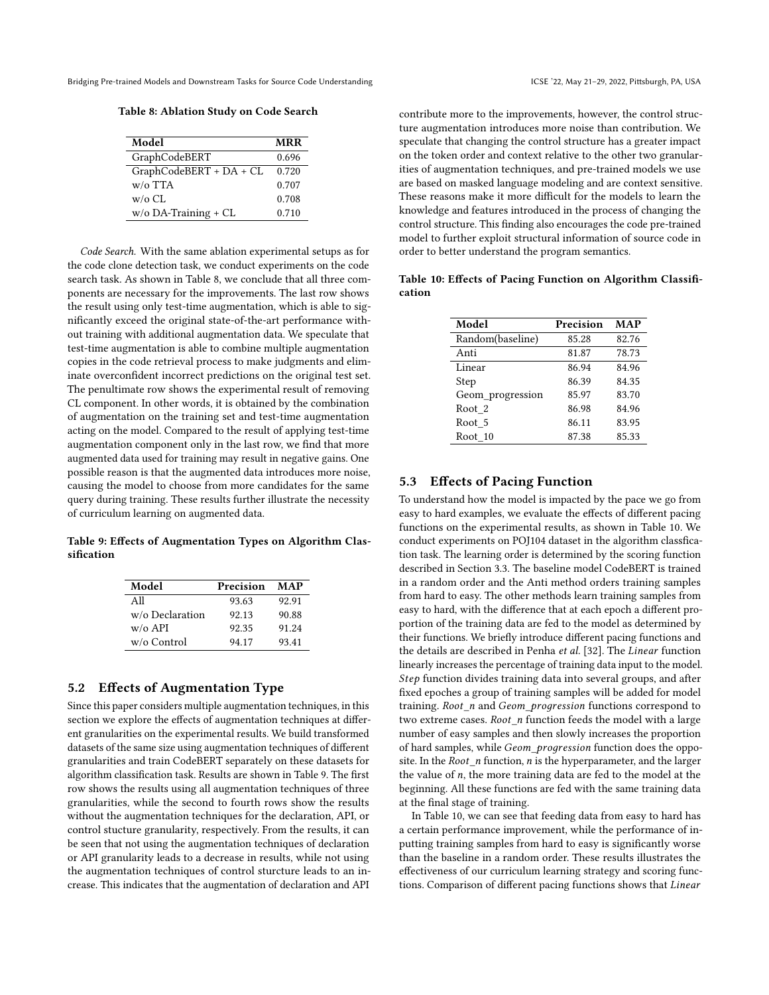<span id="page-8-1"></span>Table 8: Ablation Study on Code Search

| Model                   | <b>MRR</b> |
|-------------------------|------------|
| GraphCodeBERT           | 0.696      |
| GraphCodeBERT + DA + CL | 0.720      |
| $w$ /o TTA              | 0.707      |
| $w$ /o CL               | 0.708      |
| $w$ /o DA-Training + CL | 0.710      |

Code Search. With the same ablation experimental setups as for the code clone detection task, we conduct experiments on the code search task. As shown in Table [8,](#page-8-1) we conclude that all three components are necessary for the improvements. The last row shows the result using only test-time augmentation, which is able to significantly exceed the original state-of-the-art performance without training with additional augmentation data. We speculate that test-time augmentation is able to combine multiple augmentation copies in the code retrieval process to make judgments and eliminate overconfident incorrect predictions on the original test set. The penultimate row shows the experimental result of removing CL component. In other words, it is obtained by the combination of augmentation on the training set and test-time augmentation acting on the model. Compared to the result of applying test-time augmentation component only in the last row, we find that more augmented data used for training may result in negative gains. One possible reason is that the augmented data introduces more noise, causing the model to choose from more candidates for the same query during training. These results further illustrate the necessity of curriculum learning on augmented data.

<span id="page-8-2"></span>Table 9: Effects of Augmentation Types on Algorithm Classification

| Model           | Precision | MAP   |
|-----------------|-----------|-------|
| All             | 93.63     | 92.91 |
| w/o Declaration | 92.13     | 90.88 |
| $w/o$ API       | 92.35     | 91.24 |
| w/o Control     | 94.17     | 93.41 |

# 5.2 Effects of Augmentation Type

Since this paper considers multiple augmentation techniques, in this section we explore the effects of augmentation techniques at different granularities on the experimental results. We build transformed datasets of the same size using augmentation techniques of different granularities and train CodeBERT separately on these datasets for algorithm classification task. Results are shown in Table [9.](#page-8-2) The first row shows the results using all augmentation techniques of three granularities, while the second to fourth rows show the results without the augmentation techniques for the declaration, API, or control stucture granularity, respectively. From the results, it can be seen that not using the augmentation techniques of declaration or API granularity leads to a decrease in results, while not using the augmentation techniques of control sturcture leads to an increase. This indicates that the augmentation of declaration and API

contribute more to the improvements, however, the control structure augmentation introduces more noise than contribution. We speculate that changing the control structure has a greater impact on the token order and context relative to the other two granularities of augmentation techniques, and pre-trained models we use are based on masked language modeling and are context sensitive. These reasons make it more difficult for the models to learn the knowledge and features introduced in the process of changing the control structure. This finding also encourages the code pre-trained model to further exploit structural information of source code in order to better understand the program semantics.

<span id="page-8-3"></span>Table 10: Effects of Pacing Function on Algorithm Classification

| Model            | Precision | MAP   |
|------------------|-----------|-------|
| Random(baseline) | 85.28     | 82.76 |
| Anti             | 81.87     | 78.73 |
| Linear           | 86.94     | 84.96 |
| Step             | 86.39     | 84.35 |
| Geom_progression | 85.97     | 83.70 |
| Root 2           | 86.98     | 84.96 |
| Root 5           | 86.11     | 83.95 |
| Root 10          | 87.38     | 85.33 |

# <span id="page-8-0"></span>5.3 Effects of Pacing Function

To understand how the model is impacted by the pace we go from easy to hard examples, we evaluate the effects of different pacing functions on the experimental results, as shown in Table [10.](#page-8-3) We conduct experiments on POJ104 dataset in the algorithm classfication task. The learning order is determined by the scoring function described in Section [3.3.](#page-4-2) The baseline model CodeBERT is trained in a random order and the Anti method orders training samples from hard to easy. The other methods learn training samples from easy to hard, with the difference that at each epoch a different proportion of the training data are fed to the model as determined by their functions. We briefly introduce different pacing functions and the details are described in Penha et al. [\[32\]](#page-10-27). The Linear function linearly increases the percentage of training data input to the model. Step function divides training data into several groups, and after fixed epoches a group of training samples will be added for model training. Root\_n and Geom\_progression functions correspond to two extreme cases.  $Root \t n$  function feeds the model with a large number of easy samples and then slowly increases the proportion of hard samples, while Geom\_progression function does the opposite. In the  $Root\_n$  function,  $n$  is the hyperparameter, and the larger the value of  $n$ , the more training data are fed to the model at the beginning. All these functions are fed with the same training data at the final stage of training.

In Table [10,](#page-8-3) we can see that feeding data from easy to hard has a certain performance improvement, while the performance of inputting training samples from hard to easy is significantly worse than the baseline in a random order. These results illustrates the effectiveness of our curriculum learning strategy and scoring functions. Comparison of different pacing functions shows that Linear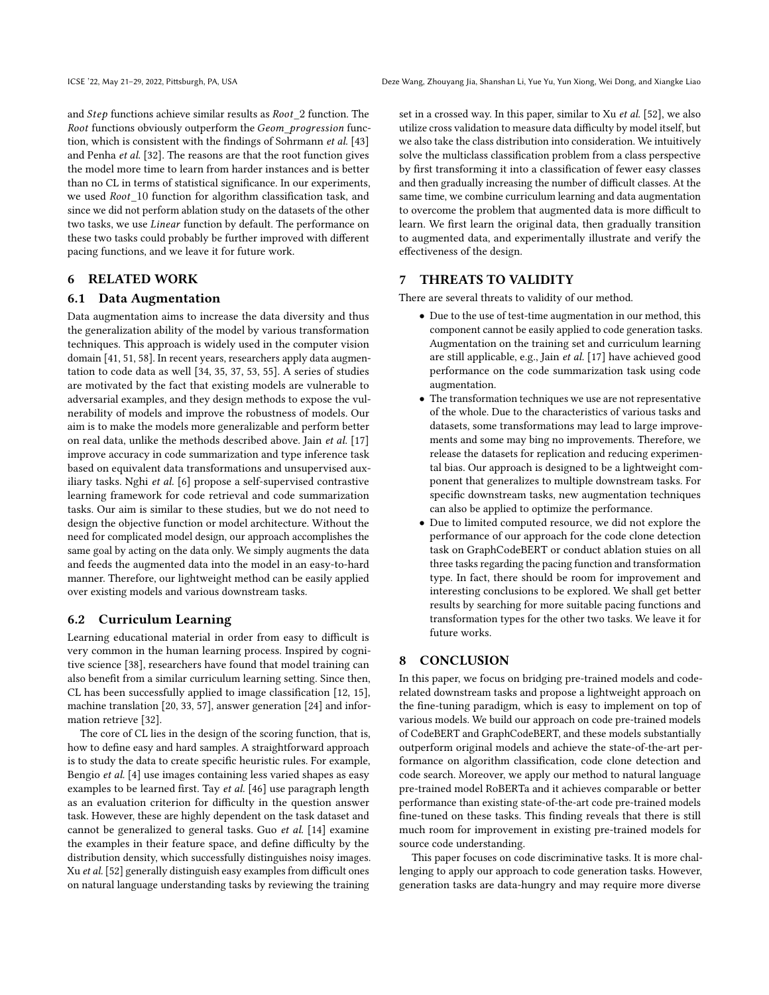and  $Step$  functions achieve similar results as  $Root\_2$  function. The Root functions obviously outperform the Geom\_progression function, which is consistent with the findings of Sohrmann et al. [\[43\]](#page-10-36) and Penha et al. [\[32\]](#page-10-27). The reasons are that the root function gives the model more time to learn from harder instances and is better than no CL in terms of statistical significance. In our experiments, we used  $Root\_10$  function for algorithm classification task, and since we did not perform ablation study on the datasets of the other two tasks, we use *Linear* function by default. The performance on these two tasks could probably be further improved with different pacing functions, and we leave it for future work.

# 6 RELATED WORK

## 6.1 Data Augmentation

Data augmentation aims to increase the data diversity and thus the generalization ability of the model by various transformation techniques. This approach is widely used in the computer vision domain [\[41,](#page-10-37) [51,](#page-11-8) [58\]](#page-11-9). In recent years, researchers apply data augmentation to code data as well [\[34,](#page-10-9) [35,](#page-10-15) [37,](#page-10-10) [53,](#page-11-1) [55\]](#page-11-10). A series of studies are motivated by the fact that existing models are vulnerable to adversarial examples, and they design methods to expose the vulnerability of models and improve the robustness of models. Our aim is to make the models more generalizable and perform better on real data, unlike the methods described above. Jain et al. [\[17\]](#page-10-38) improve accuracy in code summarization and type inference task based on equivalent data transformations and unsupervised auxiliary tasks. Nghi et al. [\[6\]](#page-10-39) propose a self-supervised contrastive learning framework for code retrieval and code summarization tasks. Our aim is similar to these studies, but we do not need to design the objective function or model architecture. Without the need for complicated model design, our approach accomplishes the same goal by acting on the data only. We simply augments the data and feeds the augmented data into the model in an easy-to-hard manner. Therefore, our lightweight method can be easily applied over existing models and various downstream tasks.

# 6.2 Curriculum Learning

Learning educational material in order from easy to difficult is very common in the human learning process. Inspired by cognitive science [\[38\]](#page-10-40), researchers have found that model training can also benefit from a similar curriculum learning setting. Since then, CL has been successfully applied to image classification [\[12,](#page-10-41) [15\]](#page-10-42), machine translation [\[20,](#page-10-43) [33,](#page-10-23) [57\]](#page-11-11), answer generation [\[24\]](#page-10-44) and information retrieve [\[32\]](#page-10-27).

The core of CL lies in the design of the scoring function, that is, how to define easy and hard samples. A straightforward approach is to study the data to create specific heuristic rules. For example, Bengio et al. [\[4\]](#page-10-20) use images containing less varied shapes as easy examples to be learned first. Tay et al. [\[46\]](#page-10-24) use paragraph length as an evaluation criterion for difficulty in the question answer task. However, these are highly dependent on the task dataset and cannot be generalized to general tasks. Guo et al. [\[14\]](#page-10-21) examine the examples in their feature space, and define difficulty by the distribution density, which successfully distinguishes noisy images. Xu et al. [\[52\]](#page-11-12) generally distinguish easy examples from difficult ones on natural language understanding tasks by reviewing the training

set in a crossed way. In this paper, similar to Xu et al. [\[52\]](#page-11-12), we also utilize cross validation to measure data difficulty by model itself, but we also take the class distribution into consideration. We intuitively solve the multiclass classification problem from a class perspective by first transforming it into a classification of fewer easy classes and then gradually increasing the number of difficult classes. At the same time, we combine curriculum learning and data augmentation to overcome the problem that augmented data is more difficult to learn. We first learn the original data, then gradually transition to augmented data, and experimentally illustrate and verify the effectiveness of the design.

# 7 THREATS TO VALIDITY

There are several threats to validity of our method.

- Due to the use of test-time augmentation in our method, this component cannot be easily applied to code generation tasks. Augmentation on the training set and curriculum learning are still applicable, e.g., Jain et al. [\[17\]](#page-10-38) have achieved good performance on the code summarization task using code augmentation.
- The transformation techniques we use are not representative of the whole. Due to the characteristics of various tasks and datasets, some transformations may lead to large improvements and some may bing no improvements. Therefore, we release the datasets for replication and reducing experimental bias. Our approach is designed to be a lightweight component that generalizes to multiple downstream tasks. For specific downstream tasks, new augmentation techniques can also be applied to optimize the performance.
- Due to limited computed resource, we did not explore the performance of our approach for the code clone detection task on GraphCodeBERT or conduct ablation stuies on all three tasks regarding the pacing function and transformation type. In fact, there should be room for improvement and interesting conclusions to be explored. We shall get better results by searching for more suitable pacing functions and transformation types for the other two tasks. We leave it for future works.

# 8 CONCLUSION

In this paper, we focus on bridging pre-trained models and coderelated downstream tasks and propose a lightweight approach on the fine-tuning paradigm, which is easy to implement on top of various models. We build our approach on code pre-trained models of CodeBERT and GraphCodeBERT, and these models substantially outperform original models and achieve the state-of-the-art performance on algorithm classification, code clone detection and code search. Moreover, we apply our method to natural language pre-trained model RoBERTa and it achieves comparable or better performance than existing state-of-the-art code pre-trained models fine-tuned on these tasks. This finding reveals that there is still much room for improvement in existing pre-trained models for source code understanding.

This paper focuses on code discriminative tasks. It is more challenging to apply our approach to code generation tasks. However, generation tasks are data-hungry and may require more diverse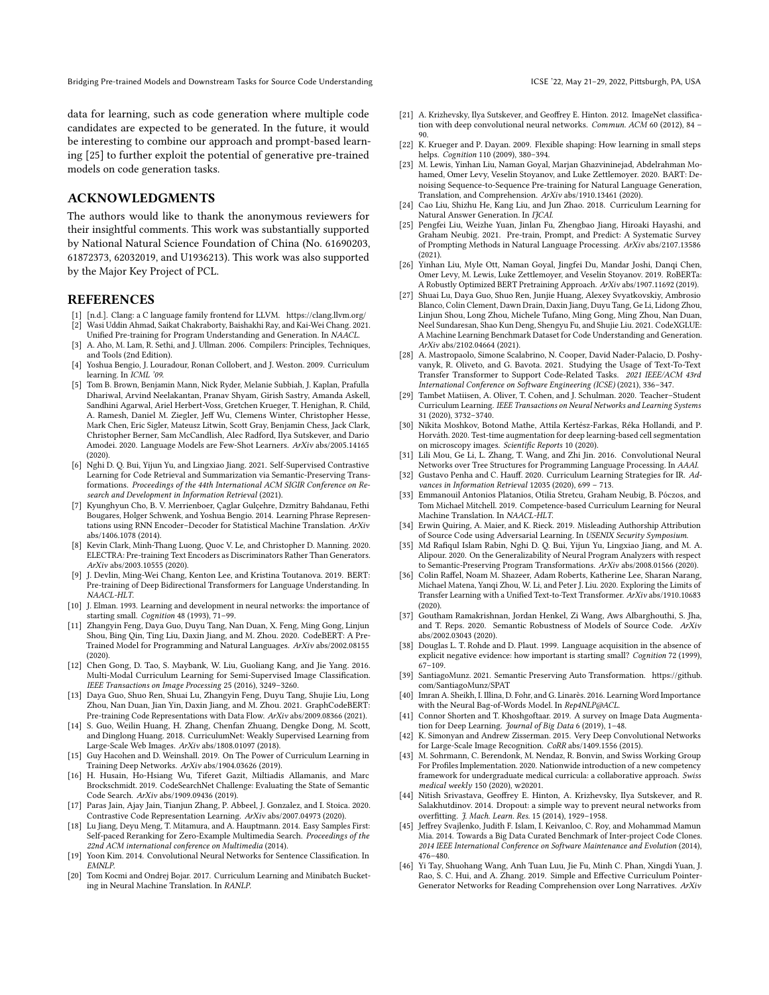data for learning, such as code generation where multiple code candidates are expected to be generated. In the future, it would be interesting to combine our approach and prompt-based learning [\[25\]](#page-10-45) to further exploit the potential of generative pre-trained models on code generation tasks.

# ACKNOWLEDGMENTS

The authors would like to thank the anonymous reviewers for their insightful comments. This work was substantially supported by National Natural Science Foundation of China (No. 61690203, 61872373, 62032019, and U1936213). This work was also supported by the Major Key Project of PCL.

# REFERENCES

- <span id="page-10-31"></span><span id="page-10-7"></span>[1] [n.d.]. Clang: a C language family frontend for LLVM.<https://clang.llvm.org/> [2] Wasi Uddin Ahmad, Saikat Chakraborty, Baishakhi Ray, and Kai-Wei Chang. 2021.
- <span id="page-10-14"></span>Unified Pre-training for Program Understanding and Generation. In NAACL. [3] A. Aho, M. Lam, R. Sethi, and J. Ullman. 2006. Compilers: Principles, Techniques, and Tools (2nd Edition).
- <span id="page-10-20"></span>[4] Yoshua Bengio, J. Louradour, Ronan Collobert, and J. Weston. 2009. Curriculum learning. In ICML '09.
- <span id="page-10-2"></span>[5] Tom B. Brown, Benjamin Mann, Nick Ryder, Melanie Subbiah, J. Kaplan, Prafulla Dhariwal, Arvind Neelakantan, Pranav Shyam, Girish Sastry, Amanda Askell, Sandhini Agarwal, Ariel Herbert-Voss, Gretchen Krueger, T. Henighan, R. Child, A. Ramesh, Daniel M. Ziegler, Jeff Wu, Clemens Winter, Christopher Hesse, Mark Chen, Eric Sigler, Mateusz Litwin, Scott Gray, Benjamin Chess, Jack Clark, Christopher Berner, Sam McCandlish, Alec Radford, Ilya Sutskever, and Dario Amodei. 2020. Language Models are Few-Shot Learners. ArXiv abs/2005.14165 (2020).
- <span id="page-10-39"></span>[6] Nghi D. Q. Bui, Yijun Yu, and Lingxiao Jiang. 2021. Self-Supervised Contrastive Learning for Code Retrieval and Summarization via Semantic-Preserving Transformations. Proceedings of the 44th International ACM SIGIR Conference on Research and Development in Information Retrieval (2021).
- <span id="page-10-35"></span>[7] Kyunghyun Cho, B. V. Merrienboer, Çaglar Gulçehre, Dzmitry Bahdanau, Fethi Bougares, Holger Schwenk, and Yoshua Bengio. 2014. Learning Phrase Representations using RNN Encoder–Decoder for Statistical Machine Translation. ArXiv abs/1406.1078 (2014).
- <span id="page-10-32"></span>[8] Kevin Clark, Minh-Thang Luong, Quoc V. Le, and Christopher D. Manning. 2020. ELECTRA: Pre-training Text Encoders as Discriminators Rather Than Generators. ArXiv abs/2003.10555 (2020).
- <span id="page-10-0"></span>J. Devlin, Ming-Wei Chang, Kenton Lee, and Kristina Toutanova. 2019. BERT: Pre-training of Deep Bidirectional Transformers for Language Understanding. In NAACL-HLT.
- <span id="page-10-17"></span>[10] J. Elman. 1993. Learning and development in neural networks: the importance of starting small. Cognition 48 (1993), 71–99.
- <span id="page-10-5"></span>[11] Zhangyin Feng, Daya Guo, Duyu Tang, Nan Duan, X. Feng, Ming Gong, Linjun Shou, Bing Qin, Ting Liu, Daxin Jiang, and M. Zhou. 2020. CodeBERT: A Pre-Trained Model for Programming and Natural Languages. ArXiv abs/2002.08155 (2020).
- <span id="page-10-41"></span>[12] Chen Gong, D. Tao, S. Maybank, W. Liu, Guoliang Kang, and Jie Yang. 2016. Multi-Modal Curriculum Learning for Semi-Supervised Image Classification. IEEE Transactions on Image Processing 25 (2016), 3249–3260.
- <span id="page-10-6"></span>[13] Daya Guo, Shuo Ren, Shuai Lu, Zhangyin Feng, Duyu Tang, Shujie Liu, Long Zhou, Nan Duan, Jian Yin, Daxin Jiang, and M. Zhou. 2021. GraphCodeBERT: Pre-training Code Representations with Data Flow. ArXiv abs/2009.08366 (2021).
- <span id="page-10-21"></span>[14] S. Guo, Weilin Huang, H. Zhang, Chenfan Zhuang, Dengke Dong, M. Scott, and Dinglong Huang. 2018. CurriculumNet: Weakly Supervised Learning from Large-Scale Web Images. ArXiv abs/1808.01097 (2018).
- <span id="page-10-42"></span>[15] Guy Hacohen and D. Weinshall. 2019. On The Power of Curriculum Learning in Training Deep Networks. ArXiv abs/1904.03626 (2019).
- <span id="page-10-30"></span>[16] H. Husain, Ho-Hsiang Wu, Tiferet Gazit, Miltiadis Allamanis, and Marc Brockschmidt. 2019. CodeSearchNet Challenge: Evaluating the State of Semantic Code Search. ArXiv abs/1909.09436 (2019).
- <span id="page-10-38"></span>[17] Paras Jain, Ajay Jain, Tianjun Zhang, P. Abbeel, J. Gonzalez, and I. Stoica. 2020. Contrastive Code Representation Learning. ArXiv abs/2007.04973 (2020).
- <span id="page-10-22"></span>[18] Lu Jiang, Deyu Meng, T. Mitamura, and A. Hauptmann. 2014. Easy Samples First: Self-paced Reranking for Zero-Example Multimedia Search. Proceedings of the 22nd ACM international conference on Multimedia (2014).
- <span id="page-10-34"></span>[19] Yoon Kim. 2014. Convolutional Neural Networks for Sentence Classification. In EMNLP.
- <span id="page-10-43"></span>[20] Tom Kocmi and Ondrej Bojar. 2017. Curriculum Learning and Minibatch Bucketing in Neural Machine Translation. In RANLP.
- 
- <span id="page-10-11"></span>[21] A. Krizhevsky, Ilya Sutskever, and Geoffrey E. Hinton. 2012. ImageNet classification with deep convolutional neural networks. Commun. ACM 60 (2012), 84 – 90.
- <span id="page-10-18"></span>[22] K. Krueger and P. Dayan. 2009. Flexible shaping: How learning in small steps helps. Cognition 110 (2009), 380–394.
- <span id="page-10-4"></span>[23] M. Lewis, Yinhan Liu, Naman Goyal, Marjan Ghazvininejad, Abdelrahman Mohamed, Omer Levy, Veselin Stoyanov, and Luke Zettlemoyer. 2020. BART: Denoising Sequence-to-Sequence Pre-training for Natural Language Generation, Translation, and Comprehension. ArXiv abs/1910.13461 (2020).
- <span id="page-10-44"></span>[24] Cao Liu, Shizhu He, Kang Liu, and Jun Zhao. 2018. Curriculum Learning for Natural Answer Generation. In IJCAI.
- <span id="page-10-45"></span>[25] Pengfei Liu, Weizhe Yuan, Jinlan Fu, Zhengbao Jiang, Hiroaki Hayashi, and Graham Neubig. 2021. Pre-train, Prompt, and Predict: A Systematic Survey of Prompting Methods in Natural Language Processing. ArXiv abs/2107.13586 (2021).
- <span id="page-10-1"></span>[26] Yinhan Liu, Myle Ott, Naman Goyal, Jingfei Du, Mandar Joshi, Danqi Chen, Omer Levy, M. Lewis, Luke Zettlemoyer, and Veselin Stoyanov. 2019. RoBERTa: A Robustly Optimized BERT Pretraining Approach. ArXiv abs/1907.11692 (2019).
- <span id="page-10-28"></span>[27] Shuai Lu, Daya Guo, Shuo Ren, Junjie Huang, Alexey Svyatkovskiy, Ambrosio Blanco, Colin Clement, Dawn Drain, Daxin Jiang, Duyu Tang, Ge Li, Lidong Zhou, Linjun Shou, Long Zhou, Michele Tufano, Ming Gong, Ming Zhou, Nan Duan, Neel Sundaresan, Shao Kun Deng, Shengyu Fu, and Shujie Liu. 2021. CodeXGLUE: A Machine Learning Benchmark Dataset for Code Understanding and Generation. ArXiv abs/2102.04664 (2021).
- <span id="page-10-8"></span>[28] A. Mastropaolo, Simone Scalabrino, N. Cooper, David Nader-Palacio, D. Poshyvanyk, R. Oliveto, and G. Bavota. 2021. Studying the Usage of Text-To-Text Transfer Transformer to Support Code-Related Tasks. 2021 IEEE/ACM 43rd International Conference on Software Engineering (ICSE) (2021), 336–347.
- <span id="page-10-16"></span>[29] Tambet Matiisen, A. Oliver, T. Cohen, and J. Schulman. 2020. Teacher–Student Curriculum Learning. IEEE Transactions on Neural Networks and Learning Systems 31 (2020), 3732–3740.
- <span id="page-10-19"></span>[30] Nikita Moshkov, Botond Mathe, Attila Kertész-Farkas, Réka Hollandi, and P. Horváth. 2020. Test-time augmentation for deep learning-based cell segmentation on microscopy images. Scientific Reports 10 (2020).
- <span id="page-10-25"></span>[31] Lili Mou, Ge Li, L. Zhang, T. Wang, and Zhi Jin. 2016. Convolutional Neural Networks over Tree Structures for Programming Language Processing. In AAAI.
- <span id="page-10-27"></span>[32] Gustavo Penha and C. Hauff. 2020. Curriculum Learning Strategies for IR. Advances in Information Retrieval 12035 (2020), 699 – 713.
- <span id="page-10-23"></span>[33] Emmanouil Antonios Platanios, Otilia Stretcu, Graham Neubig, B. Póczos, and Tom Michael Mitchell. 2019. Competence-based Curriculum Learning for Neural Machine Translation. In NAACL-HLT.
- <span id="page-10-9"></span>[34] Erwin Quiring, A. Maier, and K. Rieck. 2019. Misleading Authorship Attribution of Source Code using Adversarial Learning. In USENIX Security Symposium.
- <span id="page-10-15"></span>[35] Md Rafiqul Islam Rabin, Nghi D. Q. Bui, Yijun Yu, Lingxiao Jiang, and M. A. Alipour. 2020. On the Generalizability of Neural Program Analyzers with respect to Semantic-Preserving Program Transformations. ArXiv abs/2008.01566 (2020).
- <span id="page-10-3"></span>[36] Colin Raffel, Noam M. Shazeer, Adam Roberts, Katherine Lee, Sharan Narang, Michael Matena, Yanqi Zhou, W. Li, and Peter J. Liu. 2020. Exploring the Limits of Transfer Learning with a Unified Text-to-Text Transformer. ArXiv abs/1910.10683 (2020).
- <span id="page-10-10"></span>[37] Goutham Ramakrishnan, Jordan Henkel, Zi Wang, Aws Albarghouthi, S. Jha, and T. Reps. 2020. Semantic Robustness of Models of Source Code. ArXiv abs/2002.03043 (2020).
- <span id="page-10-40"></span>[38] Douglas L. T. Rohde and D. Plaut. 1999. Language acquisition in the absence of explicit negative evidence: how important is starting small? Cognition 72 (1999), 67–109.
- <span id="page-10-26"></span>[39] SantiagoMunz. 2021. Semantic Preserving Auto Transformation. [https://github.](https://github.com/SantiagoMunz/SPAT) [com/SantiagoMunz/SPAT](https://github.com/SantiagoMunz/SPAT)
- <span id="page-10-33"></span>[40] Imran A. Sheikh, I. Illina, D. Fohr, and G. Linarès. 2016. Learning Word Importance with the Neural Bag-of-Words Model. In Rep4NLP@ACL.
- <span id="page-10-37"></span>[41] Connor Shorten and T. Khoshgoftaar. 2019. A survey on Image Data Augmentation for Deep Learning. Journal of Big Data 6 (2019), 1–48.
- <span id="page-10-12"></span>[42] K. Simonyan and Andrew Zisserman. 2015. Very Deep Convolutional Networks for Large-Scale Image Recognition. CoRR abs/1409.1556 (2015).
- <span id="page-10-36"></span>[43] M. Sohrmann, C. Berendonk, M. Nendaz, R. Bonvin, and Swiss Working Group For Profiles Implementation. 2020. Nationwide introduction of a new competency framework for undergraduate medical curricula: a collaborative approach. Swiss medical weekly 150 (2020), w20201.
- <span id="page-10-13"></span>[44] Nitish Srivastava, Geoffrey E. Hinton, A. Krizhevsky, Ilya Sutskever, and R. Salakhutdinov. 2014. Dropout: a simple way to prevent neural networks from overfitting. J. Mach. Learn. Res. 15 (2014), 1929–1958.
- <span id="page-10-29"></span>[45] Jeffrey Svajlenko, Judith F. Islam, I. Keivanloo, C. Roy, and Mohammad Mamun Mia. 2014. Towards a Big Data Curated Benchmark of Inter-project Code Clones. 2014 IEEE International Conference on Software Maintenance and Evolution (2014), 476–480.
- <span id="page-10-24"></span>[46] Yi Tay, Shuohang Wang, Anh Tuan Luu, Jie Fu, Minh C. Phan, Xingdi Yuan, J. Rao, S. C. Hui, and A. Zhang. 2019. Simple and Effective Curriculum Pointer-Generator Networks for Reading Comprehension over Long Narratives. ArXiv